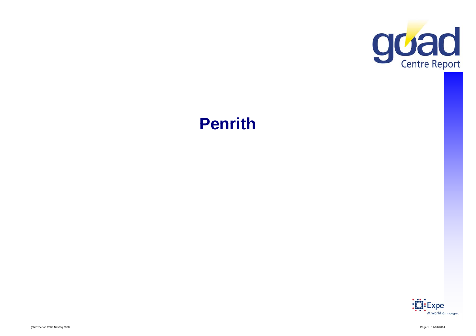

# **Penrith**

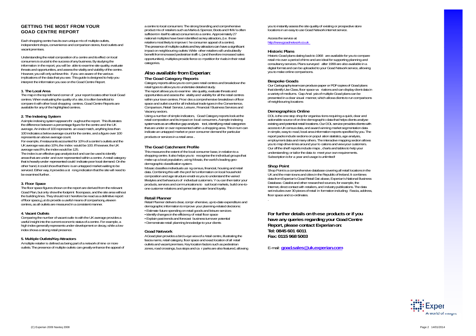# **GETTING THE MOST FROM YOUR GOAD CENTRE REPORT**

Each shopping centre has its own unique mix of multiple outlets, independent shops, convenience and comparison stores, food outlets and vacant premises.

Understanding the retail composition of a centre and its effect on local consumers is crucial to the success of any business. By studying the information in the report, you will be able to examine site quality, evaluate threats and opportunities, and assess the vitality and viability of the centre. However, you will only achieve this if you are aware of the various implications of the data that you see. This guide is designed to help you interpret the information you see on the Goad Centre Report.

# **1. The Local Area**

 The map in the top left-hand corner of your report locates other local Goad centres. When evaluating the quality of a site, it is often beneficial to compare it with other local shopping centres. Goad Centre Reports are available for any of the highlighted centres.

# **2. The Indexing System**

Asimple indexing system appears thr oughout the report. This illustrates the difference between a percentage figure for the centre and the UK average. An index of 100 represents an exact match, anything less than 100 indicates a below average count for the centre, and a figure over 100 represents an above average count.

For example, if restaurants accounted for 10% of a centre's outlets and the UK average was also 10%, the index would be 100. If however, the UK average was 8%, the index would be 125.

The index is an effective gap analysis tool and can be used to identify areas that are under and over represented within a centre. A retail category that is heavily under represented could indicate poor local demand. On the other hand, it could show that there is an untapped market waiting to be serviced. Either way, it provides a st rong indication that the site will need to be examined further.

# **3. Floor Space**

The floor space figures shown on the report are derived from the relevant Goad Plan, but only show the footprint floorspace, and the site area without the building lines. They should not t herefore be read as a definitive report of floor space,b ut do provide a useful means of comparisonb etween centres, as all outlets are measured in a consistent manner.

### **4. Vacant Outlets**

 Comparing the number of vacant outle ts with the UK average provides a useful insight into the current economic status of a centre. For example, a high index generally represents under-development or decay, while a low index shows a strong retail presence.

# **5. Multiple Outlets/Key Attractors**

A multiple retailer is defined as being part of a network of nine or more outlets. The presence of multiple outlets can greatly enhance the appeal of

a centre to local consumers: The strong branding and comprehensive product mix of retailers such as Marks & Spencer, Boots and HMV is often sufficient in itself to attract consumers to a centre. Approximately 27 national multiples have been identified as key attractors, (i.e. those retailers most likely to improve t he consumer appeal of a centre). The presence of multiple outlets and key attractors can have a significant impact on neighbouring outlets: While other retailers will undoubtedly benefit from increased pedestrian traffi c, (and therefore increased sales opportunities), multiples provide fierce co mpetition for rivals in their retail categories.

# **Also available from Experian**:

# **The Goad Category Reports**

Category reports allow you to com pare retail centres and breakdown the retail types to allow you to undertake detailed study. The report allows you to examine site quality, evaluate threats and opportunities and assess the vitality and viability for all the retail centres within your town centres. Provi des a comprehensive breakdown of floor space and outlet count for all individual trade types in the Convenience, Comparison, Retail Service, Leisure, Financial / Business Services and

Vacancy sectors. Using a number of simple indicators, Goad Category reports look at the retail composition and its impact on local consumers. A simple indexing system acts as an effective gap analysis tool, identifying retail categories that are under or over represented within a shopping area. This in turn can indicate an untapped market or poor consumer demand for particular products or services in a retail area .

# **The Goad Catchment Profile**

 This measures the extent of the local consumer base, in relation to a shopping centre. It also helps you to recognise the individual groups that make-up a local population, using Mosaic, the world's leading geodemographic classification system.

Mosaic classifies individuals usi ng census, financial, housing and retail data. Combining this with the prof ile's information on local household composition and age structure enabl es you to understand the varied lifestyles and behaviours of individual customers. Y ou can then tailor your products, services and communications to suit local markets, build one-toone customer relations and generate greater brand loyalty.

# **Retail Planner**

 Retail Planner delivers clear, compr ehensive, up-to-date expenditure and demographic information to improve your planning-related decisions: • Estimate future spending on retail goods and leisure services • Identify changes in the efficiency of retail floor space • Explain past trends and forecast business turnover potential • Demonstrate retail planning knowledge to your clients

# **Goad Network**

A Goad plan provides a bird s-eye view of a retail centre, illustrating the fascia name, retail category, floor space and exact location of all retail outlets and vacant premises. Key location factors such as pedestrian zones, road crossings, bus stops and ca r parks are also featured, allowing

you to instantly assess the site quality of existing or prospective store locations in an easy to use Goad Network internet service.

Access the service at http://www.goadnetwork.co.uk

# **Historic Plans**

 Historic Goad plans dating back to 1968 are available for you to compare retail mix over a period of time and are ideal for supporting planning and consultancy services. Plans surveyed after 1999 are also available in a digital format and can be uploaded to your Goad Network service, allowing you to make online comparisons.

# **Bespoke Goads**

Our Cartography team can produce paper or PDF copies of Goad plans that identify Use Class, floor space va riations and can display client data in a variety of mediums. Gap Anal ysis of multiple Goad plans can be presented in a clear visual manner, which allows clients to run comparisons of neighbouring locations

# **Demographics Online**

DOL is the one stop shop for organisa tions requiring a quick, clear and actionable source of on-line demographic data that helps clients analyse existing and potential retail locations. Our DOL service provides clients with access to UK census data, and award winning market segmentation data in simple, easy to read, local area information reports specified by you. The report packs include sections on popul ation statistics, age analysis, employment data and many others. The interactive mapping section allows you to map drive-times around your lo cations and view your customers. Our off the shelf reports include maps , charts and tables to help your understanding; or tailor the data to meet your own requirements. Subscription is for a year and usage is unlimited!

# **Shop Point**

Shop Point is a comprehensive database covering all retail locations in the UK and the main towns and cities in the Republic of Ireland. It combines data from Experian's Goad Retail Dat abase, Experian's National Business Database. Catalist and other researched sources, for example, the Internet, direct contact with retailers, and industry publications. The data set includes over 30 pieces of retail in formation including: Fascia, address, floor space and co-ordinates.

**For further details on th ese products or if you have any queries regarding your Goad Centre Report, please contact Experian on: Tel: 0845 601 6011 Fax: 0115 968 5003** 

E-mail: **goad.sales@uk.experian.com** 

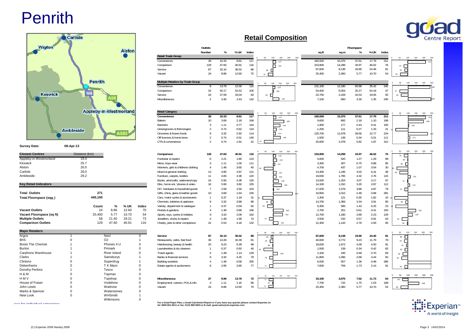# **Penrith**



| ыnэ                      | OZ.                 |          | Restaurants, cares, rast lood   | 50 | 13.26 | 10.39 | $\circ$ |    |
|--------------------------|---------------------|----------|---------------------------------|----|-------|-------|---------|----|
| <b>Boots The Chemist</b> | Phones 4 U          | 0        | Hairdressing, beauty & health   | 25 | 9.23  | 9.39  | 98      |    |
| Burton                   | Primark             | 0        | Launderettes & dry cleaners     |    | 0.37  | 0.92  | 40      | 40 |
| Carphone Warehouse       | <b>River Island</b> | $\Omega$ | Travel agents                   |    | 1.48  | 1.14  | 129     |    |
| Clarks                   | Sainsburys          |          | Banks & financial services      | Q  | 3.32  | 4.25  | 78      | 78 |
| Clintons                 | Superdrug           |          | <b>Building societies</b>       |    | 1.48  | 0.58  | 255     |    |
| Debenhams                | T K Maxx            | 0        | Estate agents & auctioneers     | 8  | 2.95  | 3.85  | 77      | 77 |
| Dorothy Perkins          | Tesco               |          |                                 |    |       |       |         |    |
| H & M                    | Topman              | ω        |                                 |    |       |       |         | 50 |
| H M V                    | Topshop             | 0        | <b>Miscellaneous</b>            | 27 | 9.96  | 13.76 | 72      | 72 |
| House of Fraser          | Vodafone            | 0        | Employment, careers, POs & info |    | 1.11  | 1.16  | 96      |    |
| John Lewis               | Waitrose            | $\Omega$ | Vacant                          | 24 | 8.86  | 12.60 | 70      |    |
| Marks & Spencer          | Waterstones         |          |                                 |    |       |       |         |    |
| New Look                 | <b>WHSmith</b>      |          |                                 |    |       |       |         |    |
|                          | Wilkinsons          |          |                                 |    |       |       |         |    |

# **Retail Composition**



| Wigton                       |                  |                |                               | <b>Alston</b> |              | <b>Retail Trade Group</b>                                                 | Outlets<br>Number                      | %                       | % UK                   | Index                  |                                                              | sq.ft                        | sq.m                      | Floorspace<br>%         | % UK                    | Index                 |                                                             |
|------------------------------|------------------|----------------|-------------------------------|---------------|--------------|---------------------------------------------------------------------------|----------------------------------------|-------------------------|------------------------|------------------------|--------------------------------------------------------------|------------------------------|---------------------------|-------------------------|-------------------------|-----------------------|-------------------------------------------------------------|
|                              |                  |                |                               |               |              | Convenience<br>Comparison<br>Service                                      | 28<br>129<br>87                        | 10.33<br>47.60<br>32.10 | 8.81<br>40.91<br>36.52 | 117<br>116<br>88<br>70 | 50<br>100<br>150<br>200<br>250<br>◻<br>117<br>b<br>116<br>88 | 165,500<br>153,900<br>87,600 | 15,375<br>14,298<br>8,138 | 37.61<br>34.97<br>19.90 | 17.79<br>46.02<br>24.46 | 211<br>76<br>81<br>54 | 100<br>150<br>200<br>250<br>50<br>211<br>76<br>$\Box$<br>81 |
|                              |                  | <b>Penrith</b> |                               |               |              | Vacant<br>Multiple Retailers by Trade Group<br>Convenience                | 24<br>8                                | 8.86<br>13.79           | 12.60<br>12.00         | 115                    | 70<br>200<br>50<br>100<br>150<br>250                         | 25,400<br>131,100            | 2,360<br>12,180           | 5.77<br>60.89           | 10.70<br>25.42          | 240                   | 54<br>50<br>100<br>150<br>200<br>250                        |
| <b>Keswick</b>               | M <sub>6</sub>   |                |                               |               |              | Comparison<br>Service<br>Miscellaneous                                    | 32<br>16<br>$\overline{2}$             | 55.17<br>27.59<br>3.45  | 52.52<br>33.04<br>2.43 | 105<br>83<br>142       | П<br>115<br>105<br>83 0<br>142                               | 54,400<br>22,700<br>7,100    | 5,054<br>2,109<br>660     | 25.27<br>10.54<br>3.30  | 54.18<br>19.05<br>1.35  | 47<br>55<br>245       | 47<br>55                                                    |
|                              |                  |                | <b>Appleby-in-Westmorland</b> |               |              | Retail Category<br>Convenience                                            | 28                                     | 10.33                   | 8.81                   | 117                    | 50<br>150<br>200<br>100<br>250<br>$\blacksquare$ 117         | 165,500                      | 15,375                    | 37.61                   | 17.79                   | 211                   | 50<br>100<br>150<br>200 25<br>21                            |
|                              | <b>Ambleside</b> |                |                               |               |              | Bakers<br><b>Butchers</b><br>Greengrocers & fishmongers                   | 10<br>$\overline{3}$<br>$\mathfrak{p}$ | 3.69<br>1.11<br>0.74    | 2.18<br>0.77<br>0.62   | 169<br>144<br>119      | 169<br>144<br>n<br>119                                       | 9,600<br>1,900<br>1.200      | 892<br>177<br>111         | 2.18<br>0.43<br>0.27    | 1.10<br>0.41<br>1.33    | 198<br>105<br>21      | 198<br>105                                                  |
| <b>Survey Date:</b>          | 08-Apr-13        |                |                               |               |              | Groceries & frozen foods<br>Off licences & home brew<br>CTN & convenience | 9<br>$\overline{2}$<br>$\overline{2}$  | 3.32<br>0.74<br>0.74    | 2.92<br>0.51<br>1.81   | 114<br>146<br>41       | п<br>114<br>146                                              | 125,700<br>1,500<br>25,600   | 11,678<br>139<br>2,378    | 28.56<br>0.34<br>5.82   | 12.77<br>0.31<br>1.87   | 224<br>111<br>312     | n.<br>111                                                   |
| <b>Closest Centres</b>       | Distance (km)    |                |                               |               |              | Comparison                                                                | 129                                    | 47.60                   | 40.91                  | 116                    | 100<br>150<br>200<br>50<br>250                               | 153,900                      | 14,298                    | 34.97                   | 46.02                   | 76                    | 100<br>150<br>200<br>250<br>50                              |
| Appleby-in-Westmorland       | 19.4             |                |                               |               |              | Footwear & repairs                                                        | 6                                      | 2.21                    | 1.80                   | 123                    | О<br>116                                                     | 5,600                        | 520                       | 1.27                    | 1.29                    | 98                    | 76                                                          |
| Keswick                      | 25.7             |                |                               |               |              | Mens, boys wear                                                           | 3                                      | 1.11                    | 1.00                   | 111                    | п<br>123                                                     | 3,300                        | 307                       | 0.75                    | 0.88                    | 85                    | 98                                                          |
| Alston                       | 26.0             |                |                               |               |              | Womens, girls & childrens clothing                                        | $\overline{4}$                         | 1.48                    | 3.65                   | 40                     | ±יי ם                                                        | 4,700                        | 437                       | 1.07                    | 3.54                    | 30                    | 85                                                          |
| Carlisle                     | 28.0             |                |                               |               |              | Mixed & general clothing                                                  | 13                                     | 4.80                    | 3.97                   | 121                    |                                                              | 13,300                       | 1,236                     | 3.02                    | 6.31                    | 48                    |                                                             |
| Ambleside                    | 29.2             |                |                               |               |              |                                                                           | 11                                     | 4.06                    | 3.38                   | 120                    | □<br>121                                                     | 19,000                       | 1,765                     | 4.32                    | 3.76                    | 115                   |                                                             |
|                              |                  |                |                               |               |              | Furniture, carpets, textiles                                              | 16                                     | 5.90                    | 4.38                   | 135                    | □<br>120                                                     | 13.500                       | 1,254                     | 3.07                    | 3.17                    | 97                    | П<br>115                                                    |
| <b>Key Retail Indicators</b> |                  |                |                               |               |              | Books, arts/crafts, stationers/copy<br>Elec, home ent, 'phones & video    | 16                                     | 5.90                    | 3.82                   | 155                    | □<br>135                                                     | 14,100                       | 1,310                     | 3.20                    | 2.87                    | 112                   | 97                                                          |
|                              |                  |                |                               |               |              |                                                                           | $\overline{7}$                         | 2.58                    | 2.50                   | 103                    | 155                                                          | 17,000                       | 1,579                     | 3.86                    | 4.87                    | 79                    | 112                                                         |
| <b>Total Outlets</b>         |                  | 271            |                               |               |              | DIY, hardware & household goods<br>Gifts, china, glass & leather goods    | 10                                     | 3.69                    | 1.64                   | 226                    | 103                                                          | 10,900                       | 1,013                     | 2.48                    | 0.88                    | 281                   | 79                                                          |
|                              |                  | 440,100        |                               |               |              | Cars, motor cycles & accessories                                          | $\overline{1}$                         | 0.37                    | 1.18                   | 31                     |                                                              | 1,300                        | 121                       | 0.30                    | 1.82                    | 16                    |                                                             |
| Total Floorspace (sqff)      |                  |                |                               |               |              |                                                                           | 9                                      | 3.32                    | 3.88                   | 86                     |                                                              | 14,700                       |                           | 3.34                    | 3.91                    | 85                    |                                                             |
|                              |                  |                | %                             | % UK          |              | Chemists, toiletries & opticians<br>Variety, department & catalogue       |                                        | 0.37                    | 0.59                   | 62                     | $86$ $\Box$<br>62                                            | 6,300                        | 1,366<br>585              | 1.43                    | 6.25                    | 23                    | 85                                                          |
| Vacant Outlets               |                  | Count<br>24    | 8.86                          | 12.60         | Index<br>70  | Florists & gardens                                                        | $\overline{4}$                         | 1.48                    | 0.89                   | 166                    |                                                              | 2,700                        | 251                       | 0.61                    | 0.41                    | 150                   |                                                             |
| Vacant Floorspace (sq ft)    |                  | 25,400         | 5.77                          | 10.70         | 54           | Sports, toys, cycles & hobbies                                            | 9                                      | 3.32                    | 2.06                   | 162                    | 166<br>162                                                   | 12,700                       | 1,180                     | 2.89                    | 2.23                    | 129                   | 150<br>129                                                  |
| <b>Multiple Outlets</b>      |                  | 58             | 21.40                         | 29.21         | 73           | Jewellers, clocks & repairs                                               | $\overline{4}$                         | 1.48                    | 1.99                   | 74                     | 74                                                           | 2,500                        | 232                       | 0.57                    | 0.91                    | 63                    | 63                                                          |
| <b>Comparison Outlets</b>    |                  | 129            | 47.60                         | 40.91         | 116          | Charity, pets & other comparison                                          | 15                                     | 5.54                    | 4.18                   | 132                    | □<br>132                                                     | 12,300                       | 1,143                     | 2.79                    | 2.93                    | 96                    | 96                                                          |
| <b>Major Retailers</b>       |                  |                |                               |               |              |                                                                           |                                        |                         |                        |                        | 50<br>100<br>150<br>200 250                                  |                              |                           |                         |                         |                       | 200 250<br>50<br>100<br>150                                 |
| Argos                        |                  |                | Next                          |               | $\mathbf{0}$ | Service                                                                   | 87                                     | 32.10                   | 36.52                  | 88                     | 88                                                           | 87,600                       | 8,138                     | 19.90                   | 24.46                   | 81                    | 81                                                          |
| BhS                          |                  |                | O <sub>2</sub>                |               |              | Restaurants, cafes, fast food                                             | 36                                     | 13.28                   | 16.39                  | 81                     | ┍<br>81                                                      | 40,600                       | 3,772                     | 9.23                    | 11.79                   | 78                    | 78                                                          |
| <b>Boots The Chemist</b>     |                  |                | Phones 4 U                    |               | 0            | Hairdressing, beauty & health                                             | 25                                     | 9.23                    | 9.39                   | 98                     | 98                                                           | 18,000                       | 1,672                     | 4.09                    | 4.50                    | 91                    | $91$ $\Box$                                                 |
| Burton                       |                  |                | Primark                       |               | $\Omega$     | Launderettes & dry cleaners                                               | $\overline{1}$                         | 0.37                    | 0.92                   | 40                     |                                                              | 1,500                        | 139                       | 0.34                    | 0.42                    | 82                    | 82                                                          |
| Carphone Warehouse           |                  |                | <b>River Island</b>           |               | $\Omega$     | Travel agents                                                             | $\overline{A}$                         | 1.48                    | 1.14                   | 129                    | ⊐<br>129                                                     | 2,100                        | 195                       | 0.48                    | 0.70                    | 69                    | 69                                                          |
| Clarks                       |                  |                | Sainsburys                    |               | 1            | Banks & financial services                                                | $\mathsf{Q}$                           | 3.32                    | 4.25                   | 78                     | 78                                                           | 11,800                       | 1,096                     | 2.68                    | 4.44                    | 60                    | $\overline{\phantom{0}}$                                    |
| Clintons                     |                  |                | Superdrug                     |               | 1            | <b>Building societies</b>                                                 | 4                                      | 1.48                    | 0.58                   | 255                    |                                                              | 6,000                        | 557                       | 1.36                    | 0.48                    | 286                   |                                                             |
| Debenhams                    |                  |                | T K Maxx                      |               | 0            | Estate agents & auctioneers                                               | 8                                      | 2.95                    | 3.85                   | 77                     | $\pi$                                                        | 7,600                        | 706                       | 1.73                    | 2.14                    | 81                    | $\Box$                                                      |
| Dorothy Perkins              |                  |                | Tesco                         |               | $\Omega$     |                                                                           |                                        |                         |                        |                        |                                                              |                              |                           |                         |                         |                       | 81                                                          |
| H & M                        |                  |                | Topman                        |               | $\Omega$     |                                                                           |                                        |                         |                        |                        |                                                              |                              |                           |                         |                         |                       | 50<br>100                                                   |
| НMV                          |                  |                | Topshop                       |               | $\Omega$     | Miscellaneous                                                             | 27                                     | 9.96                    | 13.76                  | 72                     | 50<br>100<br>150<br>200<br>- 250                             | 33,100                       | 3,075                     | 7.52                    | 11.73                   | 64                    | 150 200 250                                                 |
| House of Fraser              |                  |                | Vodafone                      |               | $\Omega$     | Employment, careers, POs & info                                           | -3                                     | 1.11                    | 1.16                   | 96                     | 72<br>$\Box$                                                 | 7,700                        | 715                       | 1.75                    | 1.03                    | 169                   | $64$ $\Gamma$<br>169                                        |
| John Lewis                   | $\Omega$         |                | Waitrose                      |               | $\mathbf 0$  | Vacant                                                                    | 24                                     | 8.86                    | 12.60                  | 70                     | $\Box$<br>70                                                 | 25,400                       | 2,360                     | 5.77                    | 10.70                   | 54                    | 54                                                          |
|                              |                  |                |                               |               |              |                                                                           |                                        |                         |                        |                        |                                                              |                              |                           |                         |                         |                       |                                                             |

می المستحد المستحد المستحد المستحد المستحد المستحد المستحد المستحد المستحد المستحد المستحد المستحد المستحد المستحد المستحد المستحد المستحد المستحد المستحد المستحد المستحد المستحد المستحد المستحد المستحد المستحد المستحد ال